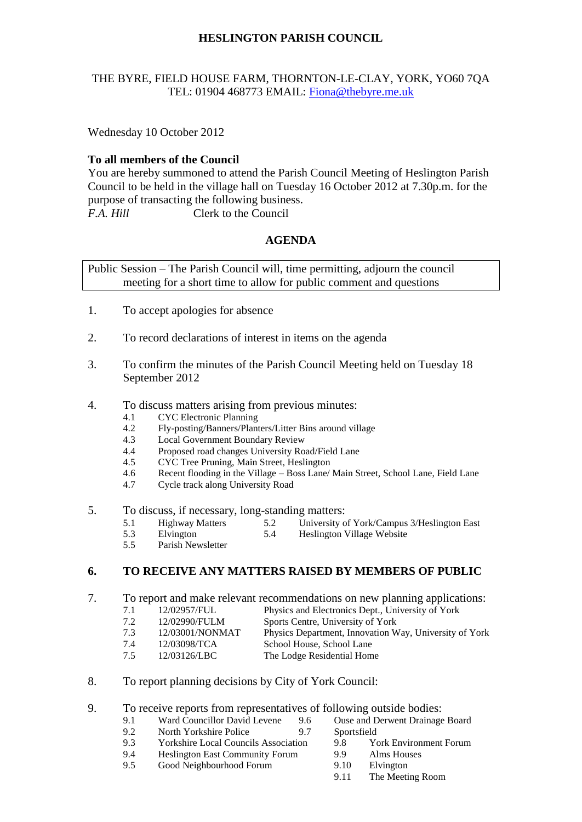# **HESLINGTON PARISH COUNCIL**

### THE BYRE, FIELD HOUSE FARM, THORNTON-LE-CLAY, YORK, YO60 7QA TEL: 01904 468773 EMAIL: [Fiona@thebyre.me.uk](mailto:Fiona@thebyre.me.uk)

Wednesday 10 October 2012

# **To all members of the Council**

You are hereby summoned to attend the Parish Council Meeting of Heslington Parish Council to be held in the village hall on Tuesday 16 October 2012 at 7.30p.m. for the purpose of transacting the following business. *F.A. Hill* Clerk to the Council

# **AGENDA**

Public Session – The Parish Council will, time permitting, adjourn the council meeting for a short time to allow for public comment and questions

- 1. To accept apologies for absence
- 2. To record declarations of interest in items on the agenda
- 3. To confirm the minutes of the Parish Council Meeting held on Tuesday 18 September 2012
- 4. To discuss matters arising from previous minutes:
	- 4.1 CYC Electronic Planning
	- 4.2 Fly-posting/Banners/Planters/Litter Bins around village
	- 4.3 Local Government Boundary Review
	- 4.4 Proposed road changes University Road/Field Lane
	- 4.5 CYC Tree Pruning, Main Street, Heslington
	- 4.6 Recent flooding in the Village Boss Lane/ Main Street, School Lane, Field Lane
	- 4.7 Cycle track along University Road
- 5. To discuss, if necessary, long-standing matters:
	- 5.1 Highway Matters 5.2 University of York/Campus 3/Heslington East
	- 5.3 Elvington 5.4 Heslington Village Website
	- 5.5 Parish Newsletter

# **6. TO RECEIVE ANY MATTERS RAISED BY MEMBERS OF PUBLIC**

7. To report and make relevant recommendations on new planning applications:

- 7.1 12/02957/FUL Physics and Electronics Dept., University of York
	- 7.2 12/02990/FULM Sports Centre, University of York
	- 7.3 12/03001/NONMAT Physics Department, Innovation Way, University of York
	- 7.4 12/03098/TCA School House, School Lane
	- 7.5 12/03126/LBC The Lodge Residential Home
- 8. To report planning decisions by City of York Council:

#### 9. To receive reports from representatives of following outside bodies:

- 9.1 Ward Councillor David Levene 9.6 Ouse and Derwent Drainage Board
- 9.2 North Yorkshire Police 9.7 Sportsfield
- 9.3 Yorkshire Local Councils Association 9.8 York Environment Forum
- 9.4 Heslington East Community Forum 9.9 Alms Houses
- 9.5 Good Neighbourhood Forum 9.10 Elvington
- 
- -
	- 9.11 The Meeting Room